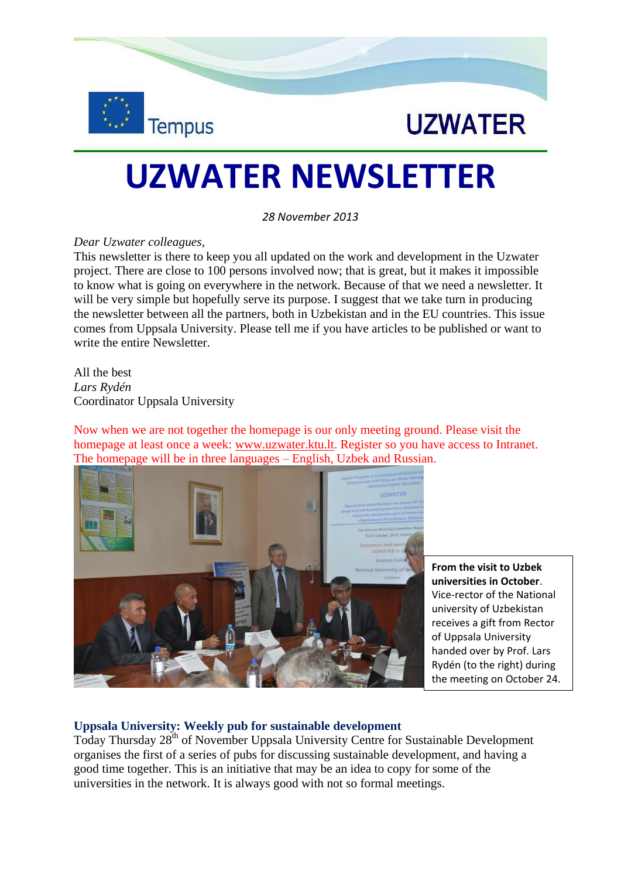



# **UZWATER NEWSLETTER**

*28 November 2013*

#### *Dear Uzwater colleagues,*

This newsletter is there to keep you all updated on the work and development in the Uzwater project. There are close to 100 persons involved now; that is great, but it makes it impossible to know what is going on everywhere in the network. Because of that we need a newsletter. It will be very simple but hopefully serve its purpose. I suggest that we take turn in producing the newsletter between all the partners, both in Uzbekistan and in the EU countries. This issue comes from Uppsala University. Please tell me if you have articles to be published or want to write the entire Newsletter.

All the best *Lars Rydén* Coordinator Uppsala University

Now when we are not together the homepage is our only meeting ground. Please visit the homepage at least once a week: [www.uzwater.ktu.lt.](http://www.uzwater.ktu.lt/) Register so you have access to Intranet. The homepage will be in three languages – English, Uzbek and Russian.



**From the visit to Uzbek universities in October**. Vice-rector of the National university of Uzbekistan receives a gift from Rector of Uppsala University handed over by Prof. Lars Rydén (to the right) during the meeting on October 24.

## **Uppsala University: Weekly pub for sustainable development**

Today Thursday 28<sup>th</sup> of November Uppsala University Centre for Sustainable Development organises the first of a series of pubs for discussing sustainable development, and having a good time together. This is an initiative that may be an idea to copy for some of the universities in the network. It is always good with not so formal meetings.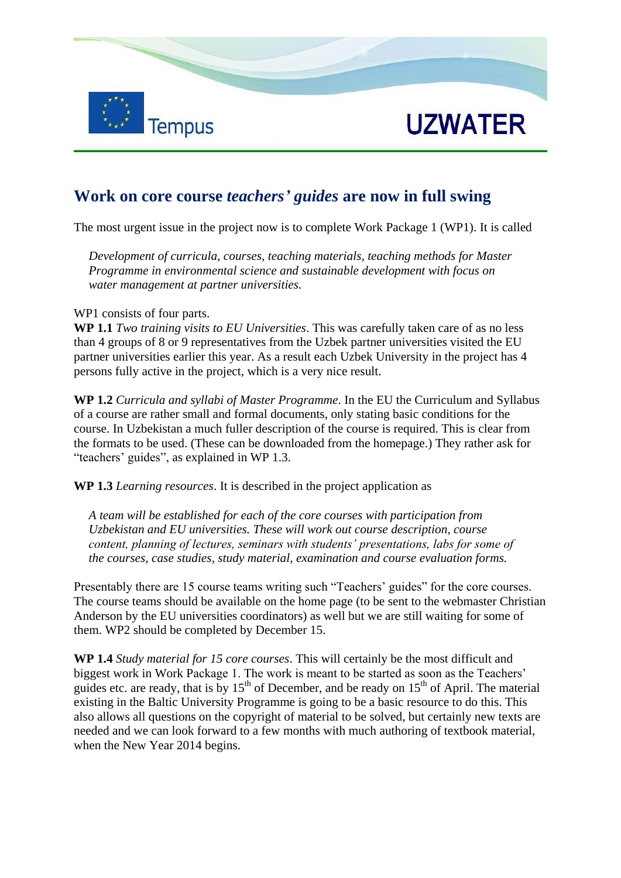



## **Work on core course** *teachers' guides* **are now in full swing**

The most urgent issue in the project now is to complete Work Package 1 (WP1). It is called

*Development of curricula, courses, teaching materials, teaching methods for Master Programme in environmental science and sustainable development with focus on water management at partner universities.*

WP1 consists of four parts.

**WP 1.1** *Two training visits to EU Universities*. This was carefully taken care of as no less than 4 groups of 8 or 9 representatives from the Uzbek partner universities visited the EU partner universities earlier this year. As a result each Uzbek University in the project has 4 persons fully active in the project, which is a very nice result.

**WP 1.2** *Curricula and syllabi of Master Programme*. In the EU the Curriculum and Syllabus of a course are rather small and formal documents, only stating basic conditions for the course. In Uzbekistan a much fuller description of the course is required. This is clear from the formats to be used. (These can be downloaded from the homepage.) They rather ask for "teachers' guides", as explained in WP 1.3.

**WP 1.3** *Learning resources*. It is described in the project application as

*A team will be established for each of the core courses with participation from Uzbekistan and EU universities. These will work out course description, course content, planning of lectures, seminars with students' presentations, labs for some of the courses, case studies, study material, examination and course evaluation forms.* 

Presentably there are 15 course teams writing such "Teachers' guides" for the core courses. The course teams should be available on the home page (to be sent to the webmaster Christian Anderson by the EU universities coordinators) as well but we are still waiting for some of them. WP2 should be completed by December 15.

**WP 1.4** *Study material for 15 core courses*. This will certainly be the most difficult and biggest work in Work Package 1. The work is meant to be started as soon as the Teachers' guides etc. are ready, that is by  $15<sup>th</sup>$  of December, and be ready on  $15<sup>th</sup>$  of April. The material existing in the Baltic University Programme is going to be a basic resource to do this. This also allows all questions on the copyright of material to be solved, but certainly new texts are needed and we can look forward to a few months with much authoring of textbook material, when the New Year 2014 begins.